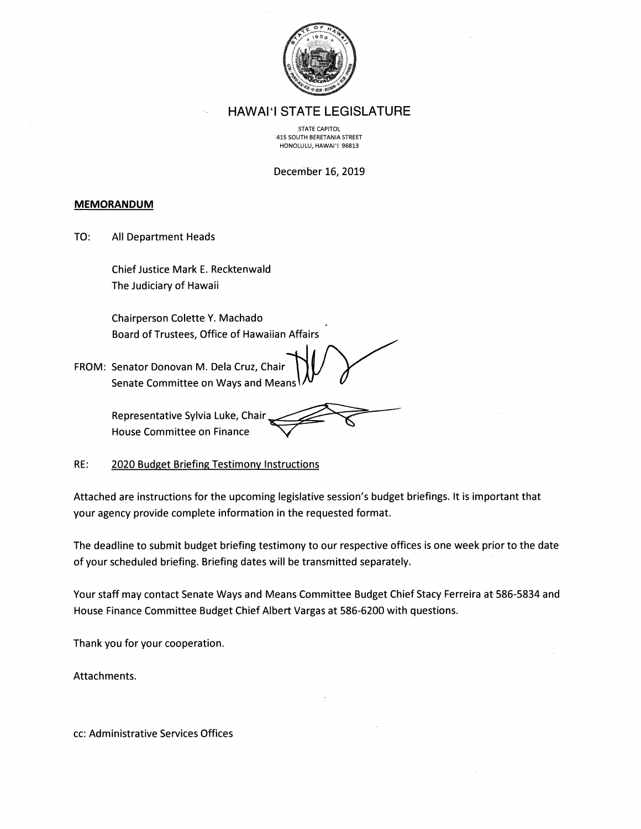

#### **HAWAI'I STATE LEGISLATURE**

STATE CAPITOL 415 SOUTH BERETANIA STREET HONOLULU, HAWAI'I 96813

December 16, 2019

#### **MEMORANDUM**

TO: All Department Heads

> Chief Justice Mark E. Recktenwald The Judiciary of Hawaii

Chairperson Colette Y. Machado Board of Trustees, Office of Hawaiian Affairs

FROM: Senator Donovan M. Dela Cruz, Chair Senate Committee on Ways and Means

> Representative Sylvia Luke, Chair House Committee on Finance

RE: 2020 Budget Briefing Testimony Instructions

Attached are instructions for the upcoming legislative session's budget briefings. It is important that your agency provide complete information in the requested format.

The deadline to submit budget briefing testimony to our respective offices is one week prior to the date of your scheduled briefing. Briefing dates will be transmitted separately.

Your staff may contact Senate Ways and Means Committee Budget Chief Stacy Ferreira at 586-5834 and House Finance Committee Budget Chief Albert Vargas at 586-6200 with questions.

Thank you for your cooperation.

Attachments.

cc: Administrative Services Offices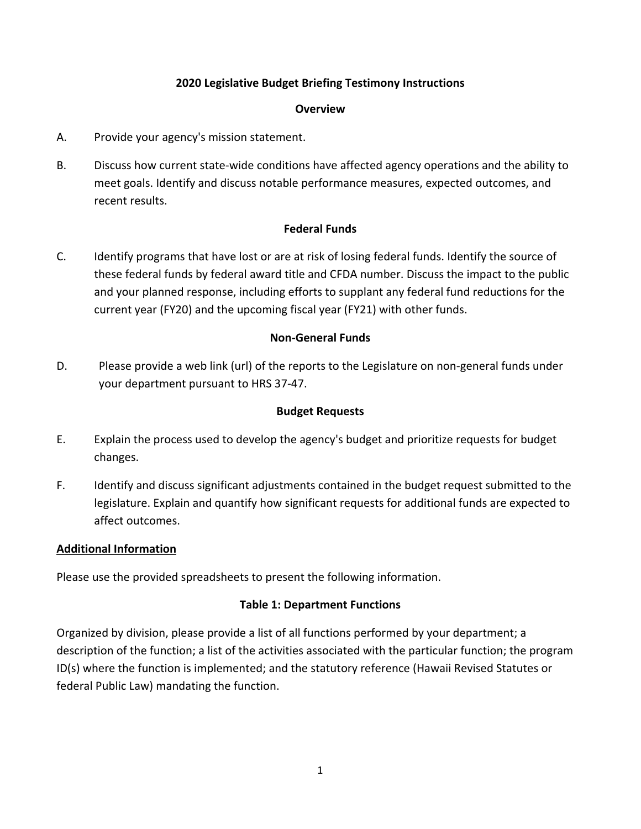### **2020 Legislative Budget Briefing Testimony Instructions**

#### **Overview**

- A. Provide your agency's mission statement.
- B. Discuss how current state‐wide conditions have affected agency operations and the ability to meet goals. Identify and discuss notable performance measures, expected outcomes, and recent results.

#### **Federal Funds**

C. Identify programs that have lost or are at risk of losing federal funds. Identify the source of these federal funds by federal award title and CFDA number. Discuss the impact to the public and your planned response, including efforts to supplant any federal fund reductions for the current year (FY20) and the upcoming fiscal year (FY21) with other funds.

#### **Non‐General Funds**

D. Please provide a web link (url) of the reports to the Legislature on non-general funds under your department pursuant to HRS 37‐47.

#### **Budget Requests**

- E. Explain the process used to develop the agency's budget and prioritize requests for budget changes.
- F. Identify and discuss significant adjustments contained in the budget request submitted to the legislature. Explain and quantify how significant requests for additional funds are expected to affect outcomes.

#### **Additional Information**

Please use the provided spreadsheets to present the following information.

#### **Table 1: Department Functions**

Organized by division, please provide a list of all functions performed by your department; a description of the function; a list of the activities associated with the particular function; the program ID(s) where the function is implemented; and the statutory reference (Hawaii Revised Statutes or federal Public Law) mandating the function.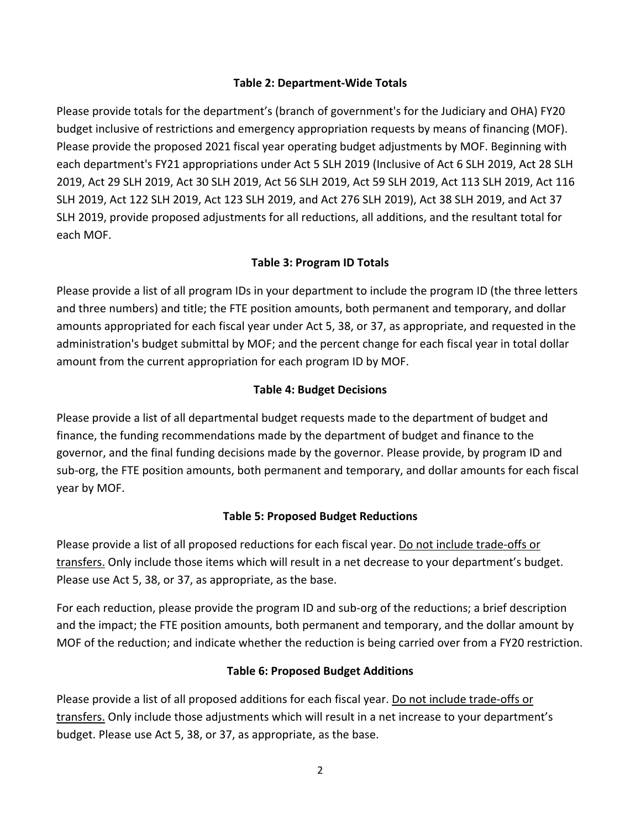#### **Table 2: Department‐Wide Totals**

Please provide totals for the department's (branch of government's for the Judiciary and OHA) FY20 budget inclusive of restrictions and emergency appropriation requests by means of financing (MOF). Please provide the proposed 2021 fiscal year operating budget adjustments by MOF. Beginning with each department's FY21 appropriations under Act 5 SLH 2019 (Inclusive of Act 6 SLH 2019, Act 28 SLH 2019, Act 29 SLH 2019, Act 30 SLH 2019, Act 56 SLH 2019, Act 59 SLH 2019, Act 113 SLH 2019, Act 116 SLH 2019, Act 122 SLH 2019, Act 123 SLH 2019, and Act 276 SLH 2019), Act 38 SLH 2019, and Act 37 SLH 2019, provide proposed adjustments for all reductions, all additions, and the resultant total for each MOF.

### **Table 3: Program ID Totals**

Please provide a list of all program IDs in your department to include the program ID (the three letters and three numbers) and title; the FTE position amounts, both permanent and temporary, and dollar amounts appropriated for each fiscal year under Act 5, 38, or 37, as appropriate, and requested in the administration's budget submittal by MOF; and the percent change for each fiscal year in total dollar amount from the current appropriation for each program ID by MOF.

### **Table 4: Budget Decisions**

Please provide a list of all departmental budget requests made to the department of budget and finance, the funding recommendations made by the department of budget and finance to the governor, and the final funding decisions made by the governor. Please provide, by program ID and sub‐org, the FTE position amounts, both permanent and temporary, and dollar amounts for each fiscal year by MOF.

### **Table 5: Proposed Budget Reductions**

Please provide a list of all proposed reductions for each fiscal year. Do not include trade‐offs or transfers. Only include those items which will result in a net decrease to your department's budget. Please use Act 5, 38, or 37, as appropriate, as the base.

For each reduction, please provide the program ID and sub‐org of the reductions; a brief description and the impact; the FTE position amounts, both permanent and temporary, and the dollar amount by MOF of the reduction; and indicate whether the reduction is being carried over from a FY20 restriction.

### **Table 6: Proposed Budget Additions**

Please provide a list of all proposed additions for each fiscal year. Do not include trade-offs or transfers. Only include those adjustments which will result in a net increase to your department's budget. Please use Act 5, 38, or 37, as appropriate, as the base.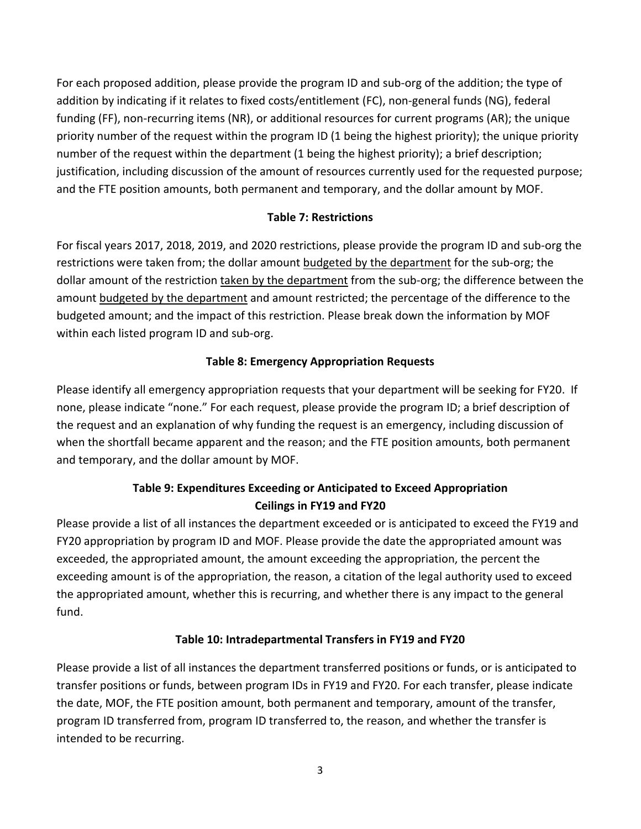For each proposed addition, please provide the program ID and sub‐org of the addition; the type of addition by indicating if it relates to fixed costs/entitlement (FC), non‐general funds (NG), federal funding (FF), non-recurring items (NR), or additional resources for current programs (AR); the unique priority number of the request within the program ID (1 being the highest priority); the unique priority number of the request within the department (1 being the highest priority); a brief description; justification, including discussion of the amount of resources currently used for the requested purpose; and the FTE position amounts, both permanent and temporary, and the dollar amount by MOF.

### **Table 7: Restrictions**

For fiscal years 2017, 2018, 2019, and 2020 restrictions, please provide the program ID and sub‐org the restrictions were taken from; the dollar amount budgeted by the department for the sub-org; the dollar amount of the restriction taken by the department from the sub‐org; the difference between the amount budgeted by the department and amount restricted; the percentage of the difference to the budgeted amount; and the impact of this restriction. Please break down the information by MOF within each listed program ID and sub-org.

### **Table 8: Emergency Appropriation Requests**

Please identify all emergency appropriation requests that your department will be seeking for FY20. If none, please indicate "none." For each request, please provide the program ID; a brief description of the request and an explanation of why funding the request is an emergency, including discussion of when the shortfall became apparent and the reason; and the FTE position amounts, both permanent and temporary, and the dollar amount by MOF.

# **Table 9: Expenditures Exceeding or Anticipated to Exceed Appropriation Ceilings in FY19 and FY20**

Please provide a list of all instances the department exceeded or is anticipated to exceed the FY19 and FY20 appropriation by program ID and MOF. Please provide the date the appropriated amount was exceeded, the appropriated amount, the amount exceeding the appropriation, the percent the exceeding amount is of the appropriation, the reason, a citation of the legal authority used to exceed the appropriated amount, whether this is recurring, and whether there is any impact to the general fund.

## **Table 10: Intradepartmental Transfers in FY19 and FY20**

Please provide a list of all instances the department transferred positions or funds, or is anticipated to transfer positions or funds, between program IDs in FY19 and FY20. For each transfer, please indicate the date, MOF, the FTE position amount, both permanent and temporary, amount of the transfer, program ID transferred from, program ID transferred to, the reason, and whether the transfer is intended to be recurring.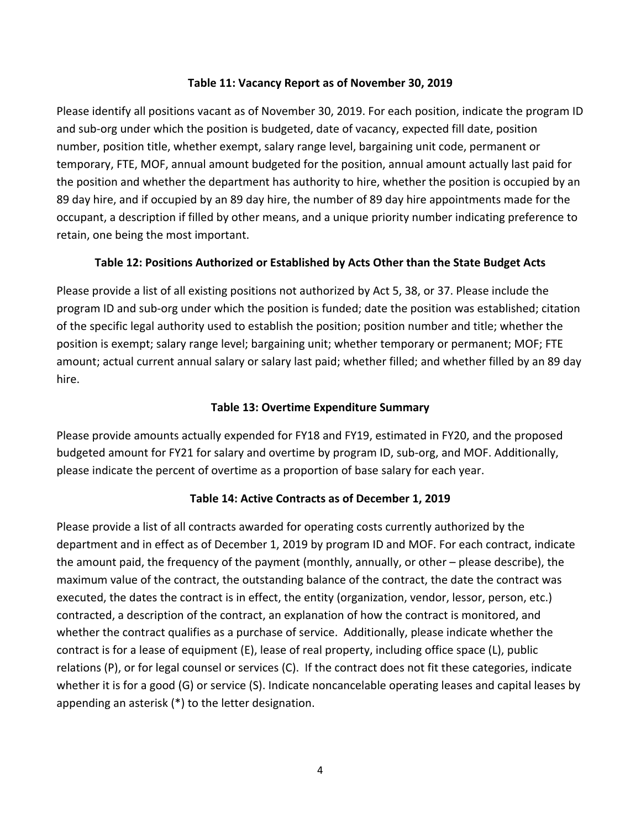#### **Table 11: Vacancy Report as of November 30, 2019**

Please identify all positions vacant as of November 30, 2019. For each position, indicate the program ID and sub-org under which the position is budgeted, date of vacancy, expected fill date, position number, position title, whether exempt, salary range level, bargaining unit code, permanent or temporary, FTE, MOF, annual amount budgeted for the position, annual amount actually last paid for the position and whether the department has authority to hire, whether the position is occupied by an 89 day hire, and if occupied by an 89 day hire, the number of 89 day hire appointments made for the occupant, a description if filled by other means, and a unique priority number indicating preference to retain, one being the most important.

#### **Table 12: Positions Authorized or Established by Acts Other than the State Budget Acts**

Please provide a list of all existing positions not authorized by Act 5, 38, or 37. Please include the program ID and sub‐org under which the position is funded; date the position was established; citation of the specific legal authority used to establish the position; position number and title; whether the position is exempt; salary range level; bargaining unit; whether temporary or permanent; MOF; FTE amount; actual current annual salary or salary last paid; whether filled; and whether filled by an 89 day hire.

#### **Table 13: Overtime Expenditure Summary**

Please provide amounts actually expended for FY18 and FY19, estimated in FY20, and the proposed budgeted amount for FY21 for salary and overtime by program ID, sub‐org, and MOF. Additionally, please indicate the percent of overtime as a proportion of base salary for each year.

### **Table 14: Active Contracts as of December 1, 2019**

Please provide a list of all contracts awarded for operating costs currently authorized by the department and in effect as of December 1, 2019 by program ID and MOF. For each contract, indicate the amount paid, the frequency of the payment (monthly, annually, or other – please describe), the maximum value of the contract, the outstanding balance of the contract, the date the contract was executed, the dates the contract is in effect, the entity (organization, vendor, lessor, person, etc.) contracted, a description of the contract, an explanation of how the contract is monitored, and whether the contract qualifies as a purchase of service. Additionally, please indicate whether the contract is for a lease of equipment (E), lease of real property, including office space (L), public relations (P), or for legal counsel or services (C). If the contract does not fit these categories, indicate whether it is for a good (G) or service (S). Indicate noncancelable operating leases and capital leases by appending an asterisk (\*) to the letter designation.